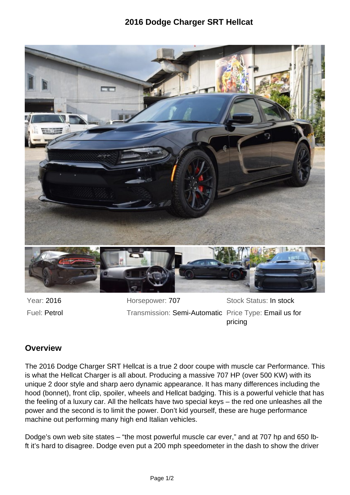## **2016 Dodge Charger SRT Hellcat**



Year: 2016 **Horsepower: 707** Stock Status: In stock Fuel: Petrol **Transmission: Semi-Automatic Price Type: Email us for** pricing

## **Overview**

The 2016 Dodge Charger SRT Hellcat is a true 2 door coupe with muscle car Performance. This is what the Hellcat Charger is all about. Producing a massive 707 HP (over 500 KW) with its unique 2 door style and sharp aero dynamic appearance. It has many differences including the hood (bonnet), front clip, spoiler, wheels and Hellcat badging. This is a powerful vehicle that has the feeling of a luxury car. All the hellcats have two special keys – the red one unleashes all the power and the second is to limit the power. Don't kid yourself, these are huge performance machine out performing many high end Italian vehicles.

Dodge's own web site states – "the most powerful muscle car ever," and at 707 hp and 650 lbft it's hard to disagree. Dodge even put a 200 mph speedometer in the dash to show the driver